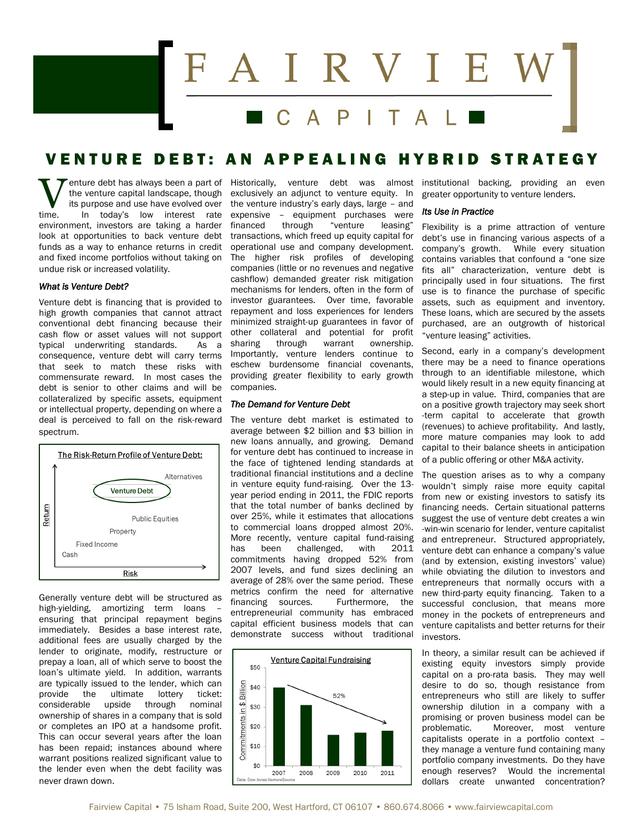

# VENTURE DEBT: AN APPEALING HYBRID STRATEGY

time. the venture capital landscape, though its purpose and use have evolved over In today's low interest rate environment, investors are taking a harder look at opportunities to back venture debt funds as a way to enhance returns in credit and fixed income portfolios without taking on undue risk or increased volatility.

#### *What is Venture Debt?*

Venture debt is financing that is provided to high growth companies that cannot attract conventional debt financing because their cash flow or asset values will not support typical underwriting standards. As a consequence, venture debt will carry terms that seek to match these risks with commensurate reward. In most cases the debt is senior to other claims and will be collateralized by specific assets, equipment or intellectual property, depending on where a deal is perceived to fall on the risk-reward spectrum.



Generally venture debt will be structured as high-yielding, amortizing term loans – ensuring that principal repayment begins immediately. Besides a base interest rate, additional fees are usually charged by the lender to originate, modify, restructure or prepay a loan, all of which serve to boost the loan's ultimate yield. In addition, warrants are typically issued to the lender, which can provide the ultimate lottery ticket: considerable upside through nominal ownership of shares in a company that is sold or completes an IPO at a handsome profit. This can occur several years after the loan has been repaid; instances abound where warrant positions realized significant value to the lender even when the debt facility was never drawn down.

exclusively an adjunct to venture equity. In the venture industry's early days, large – and expensive – equipment purchases were financed through "venture leasing" transactions, which freed up equity capital for operational use and company development. The higher risk profiles of developing companies (little or no revenues and negative cashflow) demanded greater risk mitigation mechanisms for lenders, often in the form of investor guarantees. Over time, favorable repayment and loss experiences for lenders minimized straight-up guarantees in favor of other collateral and potential for profit sharing through warrant ownership. Importantly, venture lenders continue to eschew burdensome financial covenants, providing greater flexibility to early growth companies.

## *The Demand for Venture Debt*

The venture debt market is estimated to average between \$2 billion and \$3 billion in new loans annually, and growing. Demand for venture debt has continued to increase in the face of tightened lending standards at traditional financial institutions and a decline in venture equity fund-raising. Over the 13 year period ending in 2011, the FDIC reports that the total number of banks declined by over 25%, while it estimates that allocations to commercial loans dropped almost 20%. More recently, venture capital fund-raising has been challenged, with 2011 commitments having dropped 52% from 2007 levels, and fund sizes declining an average of 28% over the same period. These metrics confirm the need for alternative financing sources. Furthermore, the entrepreneurial community has embraced capital efficient business models that can demonstrate success without traditional



enture debt has always been a part of Historically, venture debt was almost institutional backing, providing an even greater opportunity to venture lenders.

### *Its Use in Practice*

Flexibility is a prime attraction of venture debt's use in financing various aspects of a company's growth. While every situation contains variables that confound a "one size fits all" characterization, venture debt is principally used in four situations. The first use is to finance the purchase of specific assets, such as equipment and inventory. These loans, which are secured by the assets purchased, are an outgrowth of historical "venture leasing" activities.

Second, early in a company's development there may be a need to finance operations through to an identifiable milestone, which would likely result in a new equity financing at a step-up in value. Third, companies that are on a positive growth trajectory may seek short -term capital to accelerate that growth (revenues) to achieve profitability. And lastly, more mature companies may look to add capital to their balance sheets in anticipation of a public offering or other M&A activity.

The question arises as to why a company wouldn't simply raise more equity capital from new or existing investors to satisfy its financing needs. Certain situational patterns suggest the use of venture debt creates a win -win-win scenario for lender, venture capitalist and entrepreneur. Structured appropriately, venture debt can enhance a company's value (and by extension, existing investors' value) while obviating the dilution to investors and entrepreneurs that normally occurs with a new third-party equity financing. Taken to a successful conclusion, that means more money in the pockets of entrepreneurs and venture capitalists and better returns for their investors.

In theory, a similar result can be achieved if existing equity investors simply provide capital on a pro-rata basis. They may well desire to do so, though resistance from entrepreneurs who still are likely to suffer ownership dilution in a company with a promising or proven business model can be problematic. Moreover, most venture capitalists operate in a portfolio context – they manage a venture fund containing many portfolio company investments. Do they have enough reserves? Would the incremental dollars create unwanted concentration?